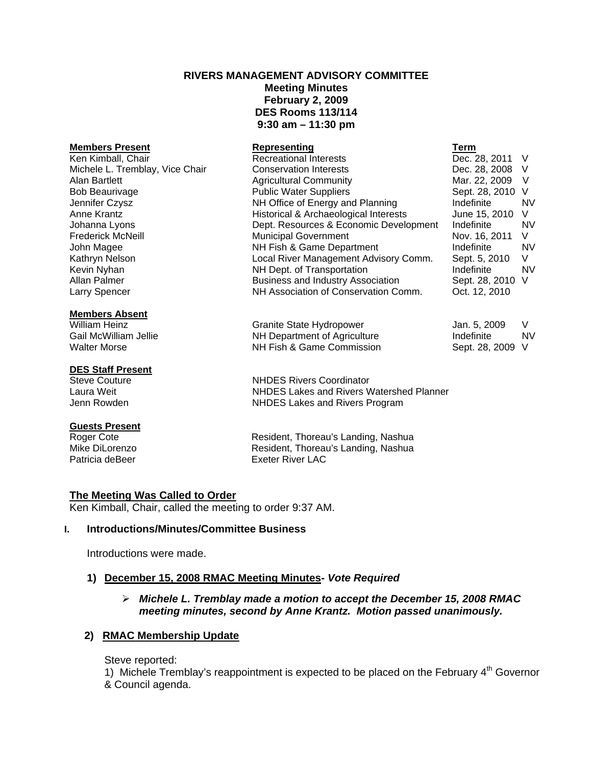# **RIVERS MANAGEMENT ADVISORY COMMITTEE Meeting Minutes February 2, 2009 DES Rooms 113/114 9:30 am – 11:30 pm**

#### **Members Present Representing Term** Recreational Interests Dec. 28, 2011 V Michele L. Tremblay, Vice Chair Conservation Interests Dec. 28, 2008 V Alan Bartlett **Agricultural Community** Mar. 22, 2009 V Bob Beaurivage The Rublic Water Suppliers Communic Sept. 28, 2010 V Jennifer Czysz NH Office of Energy and Planning Indefinite NV Anne Krantz **Historical & Archaeological Interests** Historical & Archaeological Interests Johanna Lyons Dept. Resources & Economic Development Indefinite NV Frederick McNeill **Municipal Government** Nov. 16, 2011 V John Magee NH Fish & Game Department Indefinite NV Kathryn Nelson **Local River Management Advisory Comm.** Sept. 5, 2010 V Kevin Nyhan **NH Dept.** of Transportation **Indefinite** NV Allan Palmer **Business and Industry Association** Sept. 28, 2010 V Larry Spencer NH Association of Conservation Comm. Oct. 12, 2010

**Members Absent**

### **DES Staff Present**

#### **Guests Present**

William Heinz **Granite State Hydropower** Jan. 5, 2009 V Gail McWilliam Jellie **NH Department of Agriculture** Indefinite Indefinite In NV Walter Morse **NH Fish & Game Commission** Sept. 28, 2009 V

Steve Couture **NHDES Rivers Coordinator** Laura Weit NHDES Lakes and Rivers Watershed Planner Jenn Rowden **NHDES** Lakes and Rivers Program

Roger Cote **Resident, Thoreau's Landing, Nashua**<br>Mike DiLorenzo **Resident, Thoreau's Landing, Nashua** Resident, Thoreau's Landing, Nashua Patricia deBeer **Exeter River LAC** 

### **The Meeting Was Called to Order**

Ken Kimball, Chair, called the meeting to order 9:37 AM.

### **I. Introductions/Minutes/Committee Business**

Introductions were made.

# **1) December 15, 2008 RMAC Meeting Minutes-** *Vote Required*

# ¾ *Michele L. Tremblay made a motion to accept the December 15, 2008 RMAC meeting minutes, second by Anne Krantz. Motion passed unanimously.*

# **2) RMAC Membership Update**

Steve reported:

1) Michele Tremblay's reappointment is expected to be placed on the February  $4<sup>th</sup>$  Governor & Council agenda.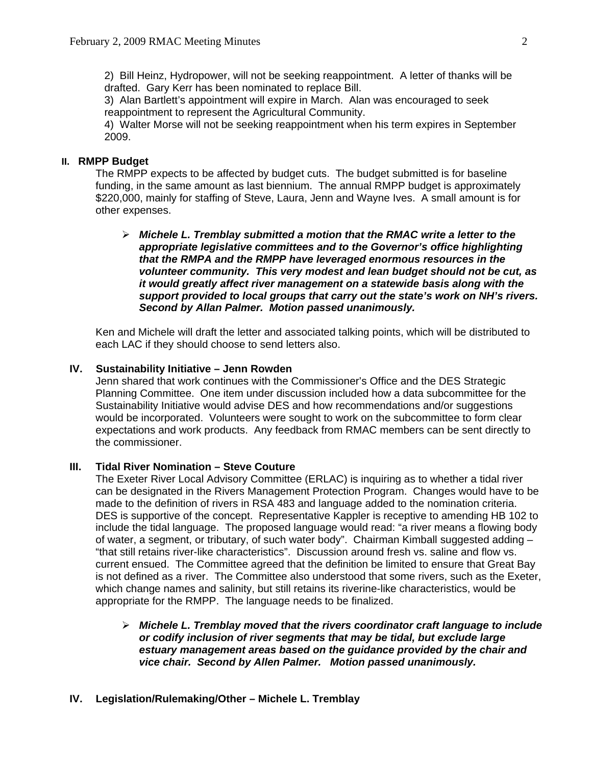2) Bill Heinz, Hydropower, will not be seeking reappointment. A letter of thanks will be drafted. Gary Kerr has been nominated to replace Bill.

 3) Alan Bartlett's appointment will expire in March. Alan was encouraged to seek reappointment to represent the Agricultural Community.

 4) Walter Morse will not be seeking reappointment when his term expires in September 2009.

### **II. RMPP Budget**

 The RMPP expects to be affected by budget cuts. The budget submitted is for baseline funding, in the same amount as last biennium. The annual RMPP budget is approximately \$220,000, mainly for staffing of Steve, Laura, Jenn and Wayne Ives. A small amount is for other expenses.

¾ *Michele L. Tremblay submitted a motion that the RMAC write a letter to the appropriate legislative committees and to the Governor's office highlighting that the RMPA and the RMPP have leveraged enormous resources in the volunteer community. This very modest and lean budget should not be cut, as it would greatly affect river management on a statewide basis along with the support provided to local groups that carry out the state's work on NH's rivers. Second by Allan Palmer. Motion passed unanimously.* 

 Ken and Michele will draft the letter and associated talking points, which will be distributed to each LAC if they should choose to send letters also.

### **IV. Sustainability Initiative – Jenn Rowden**

 Jenn shared that work continues with the Commissioner's Office and the DES Strategic Planning Committee. One item under discussion included how a data subcommittee for the Sustainability Initiative would advise DES and how recommendations and/or suggestions would be incorporated. Volunteers were sought to work on the subcommittee to form clear expectations and work products. Any feedback from RMAC members can be sent directly to the commissioner.

### **III. Tidal River Nomination – Steve Couture**

 The Exeter River Local Advisory Committee (ERLAC) is inquiring as to whether a tidal river can be designated in the Rivers Management Protection Program. Changes would have to be made to the definition of rivers in RSA 483 and language added to the nomination criteria. DES is supportive of the concept. Representative Kappler is receptive to amending HB 102 to include the tidal language. The proposed language would read: "a river means a flowing body of water, a segment, or tributary, of such water body". Chairman Kimball suggested adding – "that still retains river-like characteristics". Discussion around fresh vs. saline and flow vs. current ensued. The Committee agreed that the definition be limited to ensure that Great Bay is not defined as a river. The Committee also understood that some rivers, such as the Exeter, which change names and salinity, but still retains its riverine-like characteristics, would be appropriate for the RMPP. The language needs to be finalized.

- ¾ *Michele L. Tremblay moved that the rivers coordinator craft language to include or codify inclusion of river segments that may be tidal, but exclude large estuary management areas based on the guidance provided by the chair and vice chair. Second by Allen Palmer. Motion passed unanimously.*
- **IV. Legislation/Rulemaking/Other Michele L. Tremblay**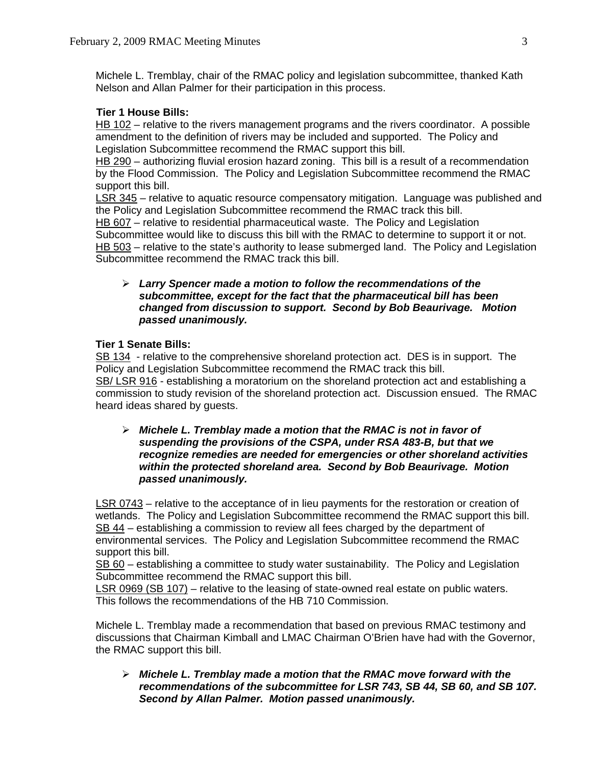Michele L. Tremblay, chair of the RMAC policy and legislation subcommittee, thanked Kath Nelson and Allan Palmer for their participation in this process.

# **Tier 1 House Bills:**

HB 102 – relative to the rivers management programs and the rivers coordinator. A possible amendment to the definition of rivers may be included and supported. The Policy and Legislation Subcommittee recommend the RMAC support this bill.

HB 290 – authorizing fluvial erosion hazard zoning. This bill is a result of a recommendation by the Flood Commission. The Policy and Legislation Subcommittee recommend the RMAC support this bill.

LSR 345 – relative to aquatic resource compensatory mitigation. Language was published and the Policy and Legislation Subcommittee recommend the RMAC track this bill.

HB 607 – relative to residential pharmaceutical waste. The Policy and Legislation Subcommittee would like to discuss this bill with the RMAC to determine to support it or not. HB 503 – relative to the state's authority to lease submerged land. The Policy and Legislation Subcommittee recommend the RMAC track this bill.

## ¾ *Larry Spencer made a motion to follow the recommendations of the subcommittee, except for the fact that the pharmaceutical bill has been changed from discussion to support. Second by Bob Beaurivage. Motion passed unanimously.*

# **Tier 1 Senate Bills:**

SB 134 - relative to the comprehensive shoreland protection act. DES is in support. The Policy and Legislation Subcommittee recommend the RMAC track this bill. SB/ LSR 916 - establishing a moratorium on the shoreland protection act and establishing a commission to study revision of the shoreland protection act. Discussion ensued.The RMAC heard ideas shared by guests.

### ¾ *Michele L. Tremblay made a motion that the RMAC is not in favor of suspending the provisions of the CSPA, under RSA 483-B, but that we recognize remedies are needed for emergencies or other shoreland activities within the protected shoreland area. Second by Bob Beaurivage. Motion passed unanimously.*

LSR 0743 – relative to the acceptance of in lieu payments for the restoration or creation of wetlands. The Policy and Legislation Subcommittee recommend the RMAC support this bill. SB 44 – establishing a commission to review all fees charged by the department of environmental services. The Policy and Legislation Subcommittee recommend the RMAC support this bill.

SB 60 – establishing a committee to study water sustainability. The Policy and Legislation Subcommittee recommend the RMAC support this bill.

LSR 0969 (SB 107) – relative to the leasing of state-owned real estate on public waters. This follows the recommendations of the HB 710 Commission.

 Michele L. Tremblay made a recommendation that based on previous RMAC testimony and discussions that Chairman Kimball and LMAC Chairman O'Brien have had with the Governor, the RMAC support this bill.

¾ *Michele L. Tremblay made a motion that the RMAC move forward with the recommendations of the subcommittee for LSR 743, SB 44, SB 60, and SB 107. Second by Allan Palmer. Motion passed unanimously.*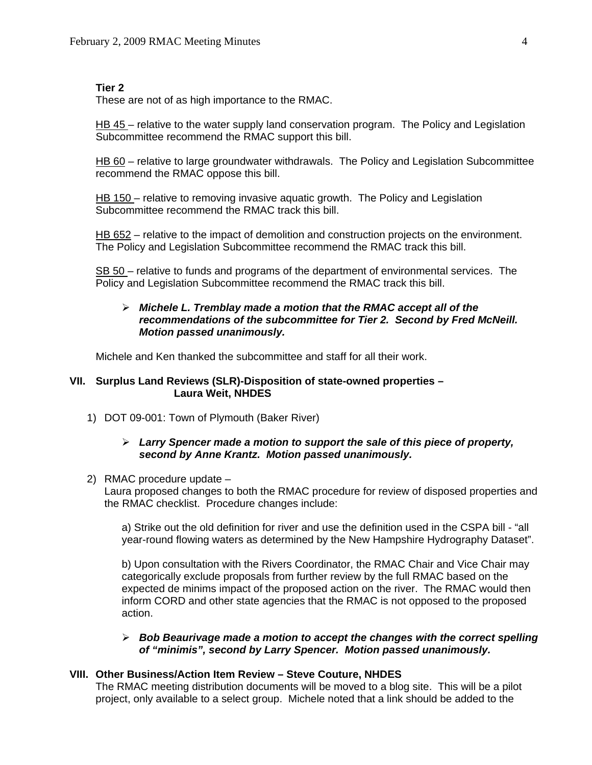### **Tier 2**

These are not of as high importance to the RMAC.

HB 45 – relative to the water supply land conservation program. The Policy and Legislation Subcommittee recommend the RMAC support this bill.

HB 60 – relative to large groundwater withdrawals. The Policy and Legislation Subcommittee recommend the RMAC oppose this bill.

HB 150 – relative to removing invasive aquatic growth. The Policy and Legislation Subcommittee recommend the RMAC track this bill.

HB 652 – relative to the impact of demolition and construction projects on the environment. The Policy and Legislation Subcommittee recommend the RMAC track this bill.

SB 50 – relative to funds and programs of the department of environmental services. The Policy and Legislation Subcommittee recommend the RMAC track this bill.

### ¾ *Michele L. Tremblay made a motion that the RMAC accept all of the recommendations of the subcommittee for Tier 2. Second by Fred McNeill. Motion passed unanimously.*

Michele and Ken thanked the subcommittee and staff for all their work.

# **VII. Surplus Land Reviews (SLR)-Disposition of state-owned properties – Laura Weit, NHDES**

1) DOT 09-001: Town of Plymouth (Baker River)

### ¾ *Larry Spencer made a motion to support the sale of this piece of property, second by Anne Krantz. Motion passed unanimously.*

2) RMAC procedure update –

Laura proposed changes to both the RMAC procedure for review of disposed properties and the RMAC checklist. Procedure changes include:

 a) Strike out the old definition for river and use the definition used in the CSPA bill - "all year-round flowing waters as determined by the New Hampshire Hydrography Dataset".

 b) Upon consultation with the Rivers Coordinator, the RMAC Chair and Vice Chair may categorically exclude proposals from further review by the full RMAC based on the expected de minims impact of the proposed action on the river. The RMAC would then inform CORD and other state agencies that the RMAC is not opposed to the proposed action.

### ¾ *Bob Beaurivage made a motion to accept the changes with the correct spelling of "minimis", second by Larry Spencer. Motion passed unanimously.*

### **VIII. Other Business/Action Item Review – Steve Couture, NHDES**

The RMAC meeting distribution documents will be moved to a blog site. This will be a pilot project, only available to a select group. Michele noted that a link should be added to the